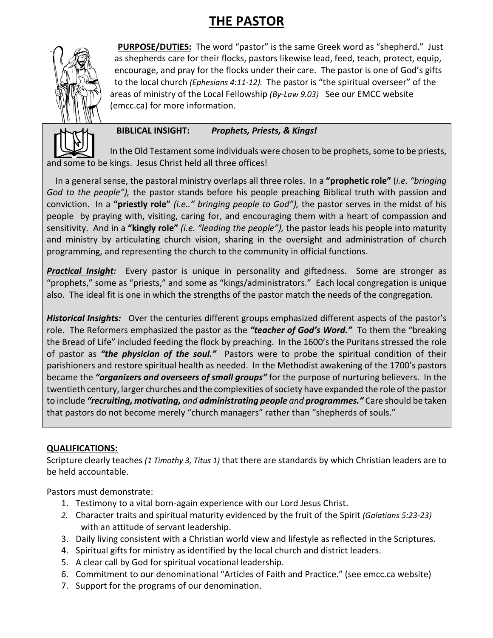# **THE PASTOR**



 **PURPOSE/DUTIES:** The word "pastor" is the same Greek word as "shepherd." Just as shepherds care for their flocks, pastors likewise lead, feed, teach, protect, equip, encourage, and pray for the flocks under their care. The pastor is one of God's gifts to the local church *(Ephesians 4:11-12).* The pastor is "the spiritual overseer" of the areas of ministry of the Local Fellowship *(By-Law 9.03)* See our EMCC website (emcc.ca) for more information.



## **BIBLICAL INSIGHT:** *Prophets, Priests, & Kings!*

 In the Old Testament some individuals were chosen to be prophets, some to be priests, and some to be kings. Jesus Christ held all three offices!

 In a general sense, the pastoral ministry overlaps all three roles. In a **"prophetic role"** (*i.e. "bringing God to the people"),* the pastor stands before his people preaching Biblical truth with passion and conviction. In a **"priestly role"** *(i.e.." bringing people to God"),* the pastor serves in the midst of his people by praying with, visiting, caring for, and encouraging them with a heart of compassion and sensitivity. And in a **"kingly role"** *(i.e. "leading the people"),* the pastor leads his people into maturity and ministry by articulating church vision, sharing in the oversight and administration of church programming, and representing the church to the community in official functions.

*Practical Insight:* Every pastor is unique in personality and giftedness. Some are stronger as "prophets," some as "priests," and some as "kings/administrators." Each local congregation is unique also. The ideal fit is one in which the strengths of the pastor match the needs of the congregation.

*Historical Insights:* Over the centuries different groups emphasized different aspects of the pastor's role. The Reformers emphasized the pastor as the *"teacher of God's Word."* To them the "breaking the Bread of Life" included feeding the flock by preaching. In the 1600's the Puritans stressed the role of pastor as *"the physician of the soul."* Pastors were to probe the spiritual condition of their parishioners and restore spiritual health as needed. In the Methodist awakening of the 1700's pastors became the *"organizers and overseers of small groups"* for the purpose of nurturing believers. In the twentieth century, larger churches and the complexities of society have expanded the role of the pastor to include *"recruiting, motivating, and administrating people and programmes."* Care should be taken that pastors do not become merely "church managers" rather than "shepherds of souls."

### **QUALIFICATIONS:**

Scripture clearly teaches *(1 Timothy 3, Titus 1)* that there are standards by which Christian leaders are to be held accountable.

Pastors must demonstrate:

- 1. Testimony to a vital born-again experience with our Lord Jesus Christ.
- *2.* Character traits and spiritual maturity evidenced by the fruit of the Spirit *(Galatians 5:23-23)* with an attitude of servant leadership.
- 3. Daily living consistent with a Christian world view and lifestyle as reflected in the Scriptures.
- 4. Spiritual gifts for ministry as identified by the local church and district leaders.
- 5. A clear call by God for spiritual vocational leadership.
- 6. Commitment to our denominational "Articles of Faith and Practice." (see emcc.ca website)
- 7. Support for the programs of our denomination.